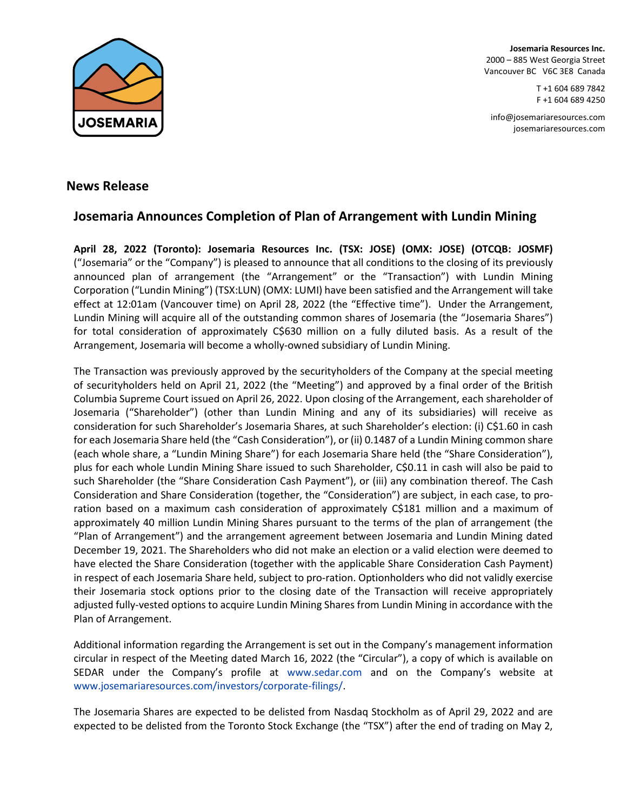

**Josemaria Resources Inc.** 2000 – 885 West Georgia Street Vancouver BC V6C 3E8 Canada

> T +1 604 689 7842 F +1 604 689 4250

[info@josemariaresources.com](mailto:info@josemariaresources.com) josemariaresources.com

# **News Release**

# **Josemaria Announces Completion of Plan of Arrangement with Lundin Mining**

**April 28, 2022 (Toronto): Josemaria Resources Inc. (TSX: JOSE) (OMX: JOSE) (OTCQB: JOSMF)**  ("Josemaria" or the "Company") is pleased to announce that all conditions to the closing of its previously announced plan of arrangement (the "Arrangement" or the "Transaction") with Lundin Mining Corporation ("Lundin Mining") (TSX:LUN) (OMX: LUMI) have been satisfied and the Arrangement will take effect at 12:01am (Vancouver time) on April 28, 2022 (the "Effective time"). Under the Arrangement, Lundin Mining will acquire all of the outstanding common shares of Josemaria (the "Josemaria Shares") for total consideration of approximately C\$630 million on a fully diluted basis. As a result of the Arrangement, Josemaria will become a wholly-owned subsidiary of Lundin Mining.

The Transaction was previously approved by the securityholders of the Company at the special meeting of securityholders held on April 21, 2022 (the "Meeting") and approved by a final order of the British Columbia Supreme Court issued on April 26, 2022. Upon closing of the Arrangement, each shareholder of Josemaria ("Shareholder") (other than Lundin Mining and any of its subsidiaries) will receive as consideration for such Shareholder's Josemaria Shares, at such Shareholder's election: (i) C\$1.60 in cash for each Josemaria Share held (the "Cash Consideration"), or (ii) 0.1487 of a Lundin Mining common share (each whole share, a "Lundin Mining Share") for each Josemaria Share held (the "Share Consideration"), plus for each whole Lundin Mining Share issued to such Shareholder, C\$0.11 in cash will also be paid to such Shareholder (the "Share Consideration Cash Payment"), or (iii) any combination thereof. The Cash Consideration and Share Consideration (together, the "Consideration") are subject, in each case, to proration based on a maximum cash consideration of approximately C\$181 million and a maximum of approximately 40 million Lundin Mining Shares pursuant to the terms of the plan of arrangement (the "Plan of Arrangement") and the arrangement agreement between Josemaria and Lundin Mining dated December 19, 2021. The Shareholders who did not make an election or a valid election were deemed to have elected the Share Consideration (together with the applicable Share Consideration Cash Payment) in respect of each Josemaria Share held, subject to pro-ration. Optionholders who did not validly exercise their Josemaria stock options prior to the closing date of the Transaction will receive appropriately adjusted fully-vested options to acquire Lundin Mining Shares from Lundin Mining in accordance with the Plan of Arrangement.

Additional information regarding the Arrangement is set out in the Company's management information circular in respect of the Meeting dated March 16, 2022 (the "Circular"), a copy of which is available on SEDAR under the Company's profile at [www.sedar.com](http://www.sedar.com/) and on the Company's website at [www.josemariaresources.com/investors/corporate-filings/.](http://www.josemariaresources.com/investors/corporate-filings/)

The Josemaria Shares are expected to be delisted from Nasdaq Stockholm as of April 29, 2022 and are expected to be delisted from the Toronto Stock Exchange (the "TSX") after the end of trading on May 2,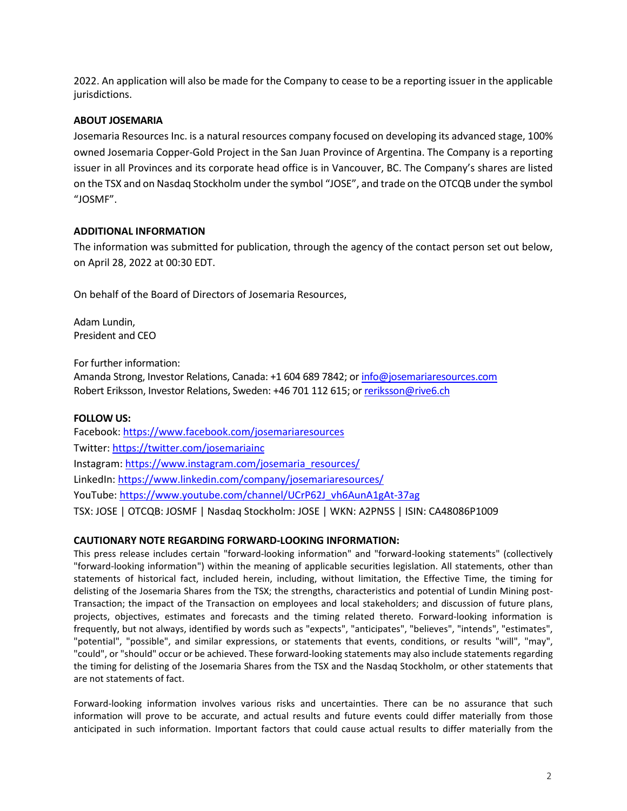2022. An application will also be made for the Company to cease to be a reporting issuer in the applicable jurisdictions.

## **ABOUT JOSEMARIA**

Josemaria Resources Inc. is a natural resources company focused on developing its advanced stage, 100% owned Josemaria Copper-Gold Project in the San Juan Province of Argentina. The Company is a reporting issuer in all Provinces and its corporate head office is in Vancouver, BC. The Company's shares are listed on the TSX and on Nasdaq Stockholm under the symbol "JOSE", and trade on the OTCQB under the symbol "JOSMF".

# **ADDITIONAL INFORMATION**

The information was submitted for publication, through the agency of the contact person set out below, on April 28, 2022 at 00:30 EDT.

On behalf of the Board of Directors of Josemaria Resources,

Adam Lundin, President and CEO

For further information:

Amanda Strong, Investor Relations, Canada: +1 604 689 7842; or info@josemariaresources.com Robert Eriksson, Investor Relations, Sweden: +46 701 112 615; or [reriksson@rive6.ch](mailto:reriksson@rive6.ch) 

## **FOLLOW US:**

Facebook: <https://www.facebook.com/josemariaresources> Twitter: <https://twitter.com/josemariainc> Instagram: [https://www.instagram.com/josemaria\\_resources/](https://www.instagram.com/josemaria_resources/)  LinkedIn: <https://www.linkedin.com/company/josemariaresources/> YouTube: https://www.youtube.com/channel/UCrP62J\_vh6AunA1gAt-37ag TSX: JOSE | OTCQB: JOSMF | Nasdaq Stockholm: JOSE | WKN: A2PN5S | ISIN: CA48086P1009

## **CAUTIONARY NOTE REGARDING FORWARD-LOOKING INFORMATION:**

This press release includes certain "forward-looking information" and "forward-looking statements" (collectively "forward-looking information") within the meaning of applicable securities legislation. All statements, other than statements of historical fact, included herein, including, without limitation, the Effective Time, the timing for delisting of the Josemaria Shares from the TSX; the strengths, characteristics and potential of Lundin Mining post-Transaction; the impact of the Transaction on employees and local stakeholders; and discussion of future plans, projects, objectives, estimates and forecasts and the timing related thereto. Forward-looking information is frequently, but not always, identified by words such as "expects", "anticipates", "believes", "intends", "estimates", "potential", "possible", and similar expressions, or statements that events, conditions, or results "will", "may", "could", or "should" occur or be achieved. These forward-looking statements may also include statements regarding the timing for delisting of the Josemaria Shares from the TSX and the Nasdaq Stockholm, or other statements that are not statements of fact.

Forward-looking information involves various risks and uncertainties. There can be no assurance that such information will prove to be accurate, and actual results and future events could differ materially from those anticipated in such information. Important factors that could cause actual results to differ materially from the